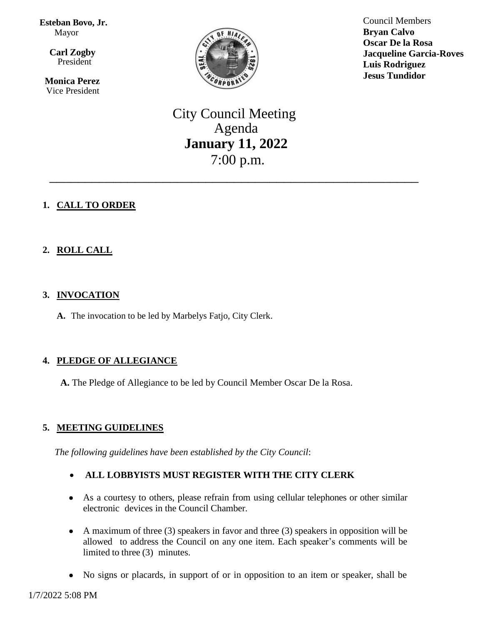**Esteban Bovo, Jr.**  Mayor

 $\overline{\mathbf{a}}$  **Carl Zogby** President

> **Monica Perez** Vice President



Council Members **Bryan Calvo Oscar De la Rosa Jacqueline Garcia-Roves Luis Rodriguez Jesus Tundidor**

City Council Meeting Agenda **January 11, 2022** 7:00 p.m.

\_\_\_\_\_\_\_\_\_\_\_\_\_\_\_\_\_\_\_\_\_\_\_\_\_\_\_\_\_\_\_\_\_\_\_\_\_\_\_\_\_\_\_\_\_\_\_\_\_\_\_\_

# **1. CALL TO ORDER**

# **2. ROLL CALL**

## **3. INVOCATION**

**A.** The invocation to be led by Marbelys Fatjo, City Clerk.

## **4. PLEDGE OF ALLEGIANCE**

**A.** The Pledge of Allegiance to be led by Council Member Oscar De la Rosa.

## **5. MEETING GUIDELINES**

*The following guidelines have been established by the City Council*:

# **ALL LOBBYISTS MUST REGISTER WITH THE CITY CLERK**

- As a courtesy to others, please refrain from using cellular telephones or other similar electronic devices in the Council Chamber.
- A maximum of three (3) speakers in favor and three (3) speakers in opposition will be allowed to address the Council on any one item. Each speaker's comments will be limited to three (3) minutes.
- No signs or placards, in support of or in opposition to an item or speaker, shall be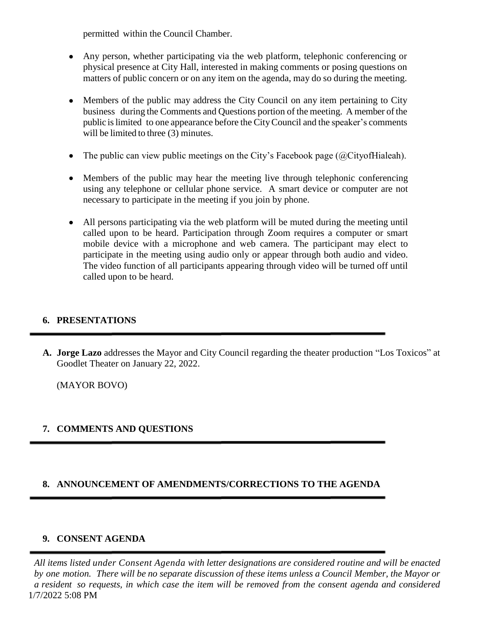permitted within the Council Chamber.

- Any person, whether participating via the web platform, telephonic conferencing or physical presence at City Hall, interested in making comments or posing questions on matters of public concern or on any item on the agenda, may do so during the meeting.
- Members of the public may address the City Council on any item pertaining to City business during the Comments and Questions portion of the meeting. A member of the public islimited to one appearance before the CityCouncil and the speaker's comments will be limited to three (3) minutes.
- The public can view public meetings on the City's Facebook page  $(QCity of Hiale)$ .
- Members of the public may hear the meeting live through telephonic conferencing using any telephone or cellular phone service. A smart device or computer are not necessary to participate in the meeting if you join by phone.
- All persons participating via the web platform will be muted during the meeting until called upon to be heard. Participation through Zoom requires a computer or smart mobile device with a microphone and web camera. The participant may elect to participate in the meeting using audio only or appear through both audio and video. The video function of all participants appearing through video will be turned off until called upon to be heard.

## **6. PRESENTATIONS**

**A. Jorge Lazo** addresses the Mayor and City Council regarding the theater production "Los Toxicos" at Goodlet Theater on January 22, 2022.

(MAYOR BOVO)

# **7. COMMENTS AND QUESTIONS**

## **8. ANNOUNCEMENT OF AMENDMENTS/CORRECTIONS TO THE AGENDA**

## **9. CONSENT AGENDA**

1/7/2022 5:08 PM *All items listed under Consent Agenda with letter designations are considered routine and will be enacted* by one motion. There will be no separate discussion of these items unless a Council Member, the Mayor or a resident so requests, in which case the item will be removed from the consent agenda and considered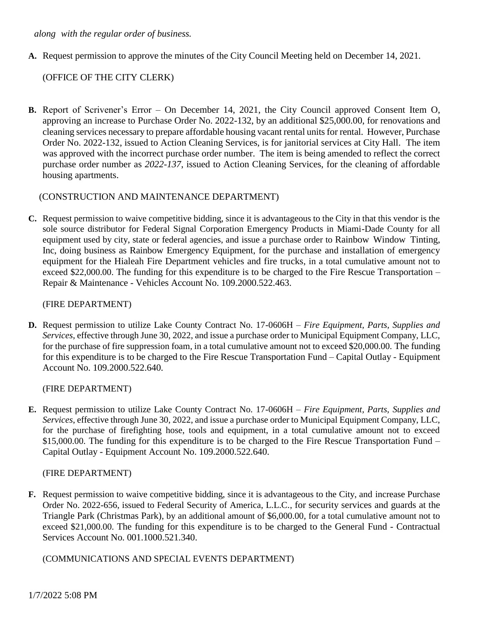#### *along with the regular order of business.*

**A.** Request permission to approve the minutes of the City Council Meeting held on December 14, 2021.

### (OFFICE OF THE CITY CLERK)

**B.** Report of Scrivener's Error – On December 14, 2021, the City Council approved Consent Item O, approving an increase to Purchase Order No. 2022-132, by an additional \$25,000.00, for renovations and cleaning services necessary to prepare affordable housing vacant rental units for rental. However, Purchase Order No. 2022-132, issued to Action Cleaning Services, is for janitorial services at City Hall. The item was approved with the incorrect purchase order number. The item is being amended to reflect the correct purchase order number as *2022-137*, issued to Action Cleaning Services, for the cleaning of affordable housing apartments.

### (CONSTRUCTION AND MAINTENANCE DEPARTMENT)

**C.** Request permission to waive competitive bidding, since it is advantageous to the City in that this vendor is the sole source distributor for Federal Signal Corporation Emergency Products in Miami-Dade County for all equipment used by city, state or federal agencies, and issue a purchase order to Rainbow Window Tinting, Inc, doing business as Rainbow Emergency Equipment, for the purchase and installation of emergency equipment for the Hialeah Fire Department vehicles and fire trucks, in a total cumulative amount not to exceed \$22,000.00. The funding for this expenditure is to be charged to the Fire Rescue Transportation – Repair & Maintenance - Vehicles Account No. 109.2000.522.463.

#### (FIRE DEPARTMENT)

**D.** Request permission to utilize Lake County Contract No. 17-0606H – *Fire Equipment, Parts, Supplies and Services*, effective through June 30, 2022, and issue a purchase order to Municipal Equipment Company, LLC, for the purchase of fire suppression foam, in a total cumulative amount not to exceed \$20,000.00. The funding for this expenditure is to be charged to the Fire Rescue Transportation Fund – Capital Outlay - Equipment Account No. 109.2000.522.640.

#### (FIRE DEPARTMENT)

**E.** Request permission to utilize Lake County Contract No. 17-0606H – *Fire Equipment, Parts, Supplies and Services*, effective through June 30, 2022, and issue a purchase order to Municipal Equipment Company, LLC, for the purchase of firefighting hose, tools and equipment, in a total cumulative amount not to exceed \$15,000.00. The funding for this expenditure is to be charged to the Fire Rescue Transportation Fund – Capital Outlay - Equipment Account No. 109.2000.522.640.

#### (FIRE DEPARTMENT)

**F.** Request permission to waive competitive bidding, since it is advantageous to the City, and increase Purchase Order No. 2022-656, issued to Federal Security of America, L.L.C., for security services and guards at the Triangle Park (Christmas Park), by an additional amount of \$6,000.00, for a total cumulative amount not to exceed \$21,000.00. The funding for this expenditure is to be charged to the General Fund - Contractual Services Account No. 001.1000.521.340.

(COMMUNICATIONS AND SPECIAL EVENTS DEPARTMENT)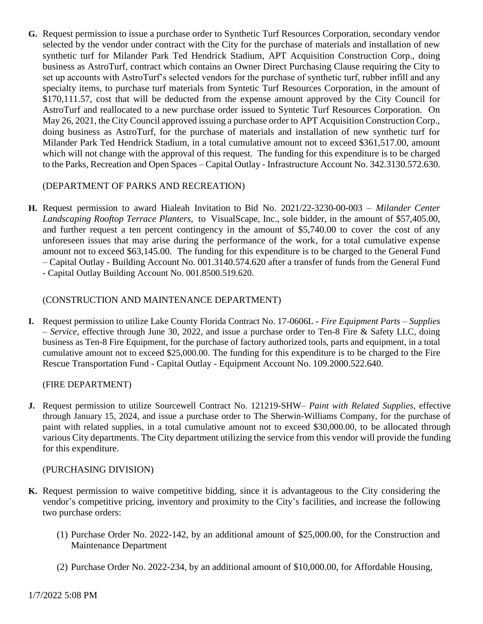**G.** Request permission to issue a purchase order to Synthetic Turf Resources Corporation, secondary vendor selected by the vendor under contract with the City for the purchase of materials and installation of new synthetic turf for Milander Park Ted Hendrick Stadium, APT Acquisition Construction Corp., doing business as AstroTurf, contract which contains an Owner Direct Purchasing Clause requiring the City to set up accounts with AstroTurf's selected vendors for the purchase of synthetic turf, rubber infill and any specialty items, to purchase turf materials from Syntetic Turf Resources Corporation, in the amount of \$170,111.57, cost that will be deducted from the expense amount approved by the City Council for AstroTurf and reallocated to a new purchase order issued to Syntetic Turf Resources Corporation. On May 26, 2021, the City Council approved issuing a purchase order to APT Acquisition Construction Corp., doing business as AstroTurf, for the purchase of materials and installation of new synthetic turf for Milander Park Ted Hendrick Stadium, in a total cumulative amount not to exceed \$361,517.00, amount which will not change with the approval of this request. The funding for this expenditure is to be charged to the Parks, Recreation and Open Spaces – Capital Outlay - Infrastructure Account No. 342.3130.572.630.

### (DEPARTMENT OF PARKS AND RECREATION)

**H.** Request permission to award Hialeah Invitation to Bid No. 2021/22-3230-00-003 – *Milander Center Landscaping Rooftop Terrace Planters,* to VisualScape, Inc., sole bidder, in the amount of \$57,405.00, and further request a ten percent contingency in the amount of \$5,740.00 to cover the cost of any unforeseen issues that may arise during the performance of the work, for a total cumulative expense amount not to exceed \$63,145.00. The funding for this expenditure is to be charged to the General Fund – Capital Outlay - Building Account No. 001.3140.574.620 after a transfer of funds from the General Fund - Capital Outlay Building Account No. 001.8500.519.620.

### (CONSTRUCTION AND MAINTENANCE DEPARTMENT)

**I.** Request permission to utilize Lake County Florida Contract No. 17-0606L - *Fire Equipment Parts – Supplies – Service,* effective through June 30, 2022, and issue a purchase order to Ten-8 Fire & Safety LLC, doing business as Ten-8 Fire Equipment, for the purchase of factory authorized tools, parts and equipment, in a total cumulative amount not to exceed \$25,000.00. The funding for this expenditure is to be charged to the Fire Rescue Transportation Fund - Capital Outlay - Equipment Account No. 109.2000.522.640.

(FIRE DEPARTMENT)

**J.** Request permission to utilize Sourcewell Contract No. 121219-SHW– *Paint with Related Supplies,* effective through January 15, 2024, and issue a purchase order to The Sherwin-Williams Company, for the purchase of paint with related supplies, in a total cumulative amount not to exceed \$30,000.00, to be allocated through various City departments. The City department utilizing the service from this vendor will provide the funding for this expenditure.

### (PURCHASING DIVISION)

- **K.** Request permission to waive competitive bidding, since it is advantageous to the City considering the vendor's competitive pricing, inventory and proximity to the City's facilities, and increase the following two purchase orders:
	- (1) Purchase Order No. 2022-142, by an additional amount of \$25,000.00, for the Construction and Maintenance Department
	- (2) Purchase Order No. 2022-234, by an additional amount of \$10,000.00, for Affordable Housing,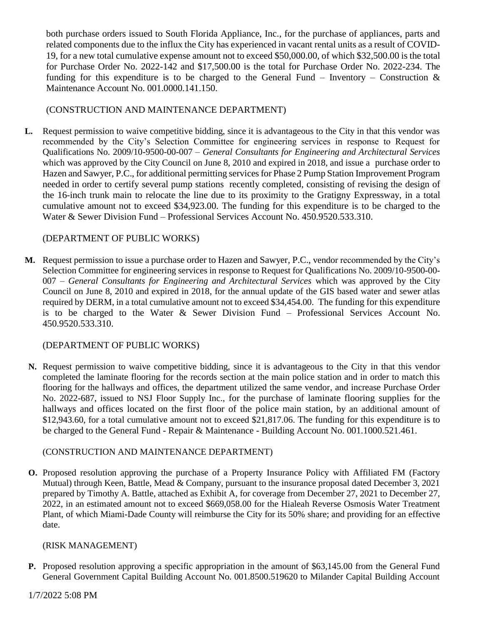both purchase orders issued to South Florida Appliance, Inc., for the purchase of appliances, parts and related components due to the influx the City has experienced in vacant rental units as a result of COVID-19, for a new total cumulative expense amount not to exceed \$50,000.00*,* of which \$32,500.00 is the total for Purchase Order No. 2022-142 and \$17,500.00 is the total for Purchase Order No. 2022-234. The funding for this expenditure is to be charged to the General Fund – Inventory – Construction  $\&$ Maintenance Account No. 001.0000.141.150.

## (CONSTRUCTION AND MAINTENANCE DEPARTMENT)

**L.** Request permission to waive competitive bidding, since it is advantageous to the City in that this vendor was recommended by the City's Selection Committee for engineering services in response to Request for Qualifications No. 2009/10-9500-00-007 – *General Consultants for Engineering and Architectural Services*  which was approved by the City Council on June 8, 2010 and expired in 2018, and issue a purchase order to Hazen and Sawyer, P.C., for additional permitting services for Phase 2 Pump Station Improvement Program needed in order to certify several pump stations recently completed, consisting of revising the design of the 16-inch trunk main to relocate the line due to its proximity to the Gratigny Expressway, in a total cumulative amount not to exceed \$34,923.00. The funding for this expenditure is to be charged to the Water & Sewer Division Fund – Professional Services Account No. 450.9520.533.310.

### (DEPARTMENT OF PUBLIC WORKS)

**M.** Request permission to issue a purchase order to Hazen and Sawyer, P.C., vendor recommended by the City's Selection Committee for engineering services in response to Request for Qualifications No. 2009/10-9500-00- 007 – *General Consultants for Engineering and Architectural Services* which was approved by the City Council on June 8, 2010 and expired in 2018, for the annual update of the GIS based water and sewer atlas required by DERM, in a total cumulative amount not to exceed \$34,454.00. The funding for this expenditure is to be charged to the Water & Sewer Division Fund – Professional Services Account No. 450.9520.533.310.

### (DEPARTMENT OF PUBLIC WORKS)

**N.** Request permission to waive competitive bidding, since it is advantageous to the City in that this vendor completed the laminate flooring for the records section at the main police station and in order to match this flooring for the hallways and offices, the department utilized the same vendor, and increase Purchase Order No. 2022-687, issued to NSJ Floor Supply Inc., for the purchase of laminate flooring supplies for the hallways and offices located on the first floor of the police main station, by an additional amount of \$12,943.60, for a total cumulative amount not to exceed \$21,817.06. The funding for this expenditure is to be charged to the General Fund - Repair & Maintenance - Building Account No. 001.1000.521.461.

### (CONSTRUCTION AND MAINTENANCE DEPARTMENT)

**O.** Proposed resolution approving the purchase of a Property Insurance Policy with Affiliated FM (Factory Mutual) through Keen, Battle, Mead & Company, pursuant to the insurance proposal dated December 3, 2021 prepared by Timothy A. Battle, attached as Exhibit A, for coverage from December 27, 2021 to December 27, 2022, in an estimated amount not to exceed \$669,058.00 for the Hialeah Reverse Osmosis Water Treatment Plant, of which Miami-Dade County will reimburse the City for its 50% share; and providing for an effective date.

### (RISK MANAGEMENT)

**P.** Proposed resolution approving a specific appropriation in the amount of \$63,145.00 from the General Fund General Government Capital Building Account No. 001.8500.519620 to Milander Capital Building Account

### 1/7/2022 5:08 PM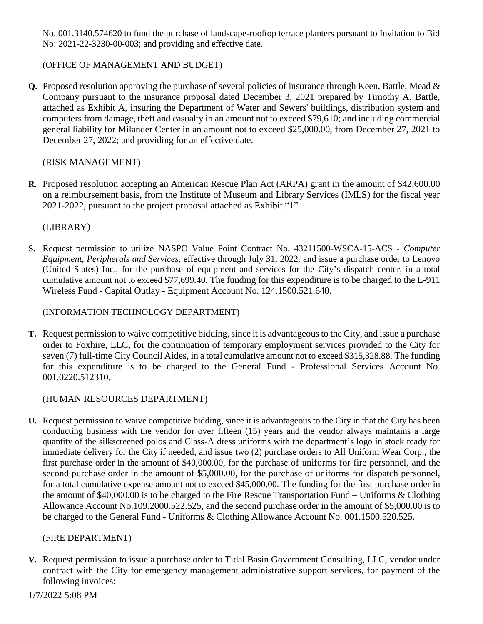No. 001.3140.574620 to fund the purchase of landscape-rooftop terrace planters pursuant to Invitation to Bid No: 2021-22-3230-00-003; and providing and effective date.

## (OFFICE OF MANAGEMENT AND BUDGET)

**Q.** Proposed resolution approving the purchase of several policies of insurance through Keen, Battle, Mead & Company pursuant to the insurance proposal dated December 3, 2021 prepared by Timothy A. Battle, attached as Exhibit A, insuring the Department of Water and Sewers' buildings, distribution system and computers from damage, theft and casualty in an amount not to exceed \$79,610; and including commercial general liability for Milander Center in an amount not to exceed \$25,000.00, from December 27, 2021 to December 27, 2022; and providing for an effective date.

## (RISK MANAGEMENT)

**R.** Proposed resolution accepting an American Rescue Plan Act (ARPA) grant in the amount of \$42,600.00 on a reimbursement basis, from the Institute of Museum and Library Services (IMLS) for the fiscal year 2021-2022, pursuant to the project proposal attached as Exhibit "1".

## (LIBRARY)

**S.** Request permission to utilize NASPO Value Point Contract No. 43211500-WSCA-15-ACS - *Computer Equipment, Peripherals and Services*, effective through July 31, 2022, and issue a purchase order to Lenovo (United States) Inc., for the purchase of equipment and services for the City's dispatch center, in a total cumulative amount not to exceed \$77,699.40. The funding for this expenditure is to be charged to the E-911 Wireless Fund - Capital Outlay - Equipment Account No. 124.1500.521.640.

## (INFORMATION TECHNOLOGY DEPARTMENT)

**T.** Request permission to waive competitive bidding, since it is advantageous to the City, and issue a purchase order to Foxhire, LLC, for the continuation of temporary employment services provided to the City for seven (7) full-time City Council Aides, in a total cumulative amount not to exceed \$315,328.88. The funding for this expenditure is to be charged to the General Fund - Professional Services Account No. 001.0220.512310.

# (HUMAN RESOURCES DEPARTMENT)

**U.** Request permission to waive competitive bidding, since it is advantageous to the City in that the City has been conducting business with the vendor for over fifteen (15) years and the vendor always maintains a large quantity of the silkscreened polos and Class-A dress uniforms with the department's logo in stock ready for immediate delivery for the City if needed, and issue two (2) purchase orders to All Uniform Wear Corp., the first purchase order in the amount of \$40,000.00, for the purchase of uniforms for fire personnel, and the second purchase order in the amount of \$5,000.00, for the purchase of uniforms for dispatch personnel, for a total cumulative expense amount not to exceed \$45,000.00. The funding for the first purchase order in the amount of \$40,000.00 is to be charged to the Fire Rescue Transportation Fund – Uniforms & Clothing Allowance Account No.109.2000.522.525, and the second purchase order in the amount of \$5,000.00 is to be charged to the General Fund - Uniforms & Clothing Allowance Account No. 001.1500.520.525.

## (FIRE DEPARTMENT)

**V.** Request permission to issue a purchase order to Tidal Basin Government Consulting, LLC, vendor under contract with the City for emergency management administrative support services, for payment of the following invoices: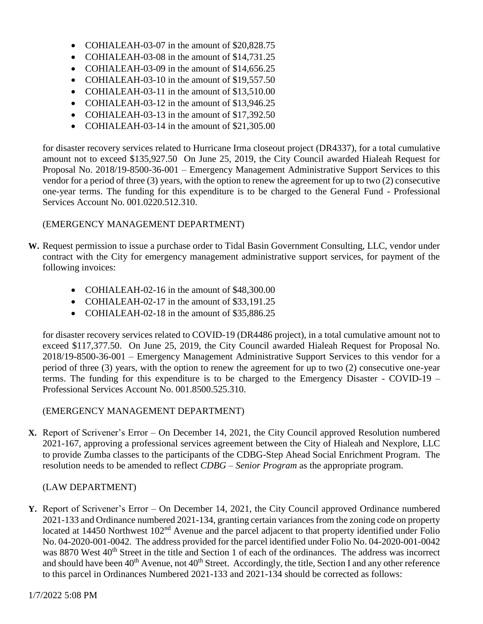- COHIALEAH-03-07 in the amount of \$20,828.75
- COHIALEAH-03-08 in the amount of \$14,731.25
- COHIALEAH-03-09 in the amount of \$14,656.25
- COHIALEAH-03-10 in the amount of \$19,557.50
- COHIALEAH-03-11 in the amount of \$13,510.00
- COHIALEAH-03-12 in the amount of \$13,946.25
- COHIALEAH-03-13 in the amount of \$17,392.50
- COHIALEAH-03-14 in the amount of \$21,305.00

for disaster recovery services related to Hurricane Irma closeout project (DR4337), for a total cumulative amount not to exceed \$135,927.50 On June 25, 2019, the City Council awarded Hialeah Request for Proposal No. 2018/19-8500-36-001 – Emergency Management Administrative Support Services to this vendor for a period of three (3) years, with the option to renew the agreement for up to two (2) consecutive one-year terms. The funding for this expenditure is to be charged to the General Fund - Professional Services Account No. 001.0220.512.310.

### (EMERGENCY MANAGEMENT DEPARTMENT)

- **W.** Request permission to issue a purchase order to Tidal Basin Government Consulting, LLC, vendor under contract with the City for emergency management administrative support services, for payment of the following invoices:
	- COHIALEAH-02-16 in the amount of \$48,300.00
	- COHIALEAH-02-17 in the amount of \$33,191.25
	- COHIALEAH-02-18 in the amount of \$35,886,25

for disaster recovery services related to COVID-19 (DR4486 project), in a total cumulative amount not to exceed \$117,377.50. On June 25, 2019, the City Council awarded Hialeah Request for Proposal No. 2018/19-8500-36-001 – Emergency Management Administrative Support Services to this vendor for a period of three (3) years, with the option to renew the agreement for up to two (2) consecutive one-year terms. The funding for this expenditure is to be charged to the Emergency Disaster - COVID-19 – Professional Services Account No. 001.8500.525.310.

## (EMERGENCY MANAGEMENT DEPARTMENT)

**X.** Report of Scrivener's Error – On December 14, 2021, the City Council approved Resolution numbered 2021-167, approving a professional services agreement between the City of Hialeah and Nexplore, LLC to provide Zumba classes to the participants of the CDBG-Step Ahead Social Enrichment Program. The resolution needs to be amended to reflect *CDBG – Senior Program* as the appropriate program.

## (LAW DEPARTMENT)

**Y.** Report of Scrivener's Error – On December 14, 2021, the City Council approved Ordinance numbered 2021-133 and Ordinance numbered 2021-134, granting certain variances from the zoning code on property located at 14450 Northwest 102<sup>nd</sup> Avenue and the parcel adjacent to that property identified under Folio No. 04-2020-001-0042. The address provided for the parcel identified under Folio No. 04-2020-001-0042 was 8870 West 40<sup>th</sup> Street in the title and Section 1 of each of the ordinances. The address was incorrect and should have been  $40<sup>th</sup>$  Avenue, not  $40<sup>th</sup>$  Street. Accordingly, the title, Section I and any other reference to this parcel in Ordinances Numbered 2021-133 and 2021-134 should be corrected as follows: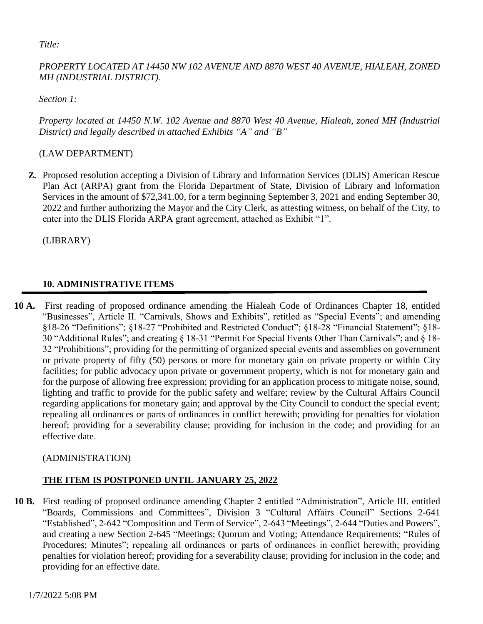*Title:*

## *PROPERTY LOCATED AT 14450 NW 102 AVENUE AND 8870 WEST 40 AVENUE, HIALEAH, ZONED MH (INDUSTRIAL DISTRICT).*

*Section 1:* 

*Property located at 14450 N.W. 102 Avenue and 8870 West 40 Avenue, Hialeah, zoned MH (Industrial District) and legally described in attached Exhibits "A" and "B"*

# (LAW DEPARTMENT)

**Z.** Proposed resolution accepting a Division of Library and Information Services (DLIS) American Rescue Plan Act (ARPA) grant from the Florida Department of State, Division of Library and Information Services in the amount of \$72,341.00, for a term beginning September 3, 2021 and ending September 30, 2022 and further authorizing the Mayor and the City Clerk, as attesting witness, on behalf of the City, to enter into the DLIS Florida ARPA grant agreement, attached as Exhibit "1".

(LIBRARY)

# **10. ADMINISTRATIVE ITEMS**

**10 A.** First reading of proposed ordinance amending the Hialeah Code of Ordinances Chapter 18, entitled "Businesses", Article II. "Carnivals, Shows and Exhibits", retitled as "Special Events"; and amending §18-26 "Definitions"; §18-27 "Prohibited and Restricted Conduct"; §18-28 "Financial Statement"; §18- 30 "Additional Rules"; and creating § 18-31 "Permit For Special Events Other Than Carnivals"; and § 18- 32 "Prohibitions"; providing for the permitting of organized special events and assemblies on government or private property of fifty (50) persons or more for monetary gain on private property or within City facilities; for public advocacy upon private or government property, which is not for monetary gain and for the purpose of allowing free expression; providing for an application process to mitigate noise, sound, lighting and traffic to provide for the public safety and welfare; review by the Cultural Affairs Council regarding applications for monetary gain; and approval by the City Council to conduct the special event; repealing all ordinances or parts of ordinances in conflict herewith; providing for penalties for violation hereof; providing for a severability clause; providing for inclusion in the code; and providing for an effective date.

# (ADMINISTRATION)

# **THE ITEM IS POSTPONED UNTIL JANUARY 25, 2022**

**10 B.** First reading of proposed ordinance amending Chapter 2 entitled "Administration", Article III. entitled "Boards, Commissions and Committees", Division 3 "Cultural Affairs Council" Sections 2-641 "Established", 2-642 "Composition and Term of Service", 2-643 "Meetings", 2-644 "Duties and Powers", and creating a new Section 2-645 "Meetings; Quorum and Voting; Attendance Requirements; "Rules of Procedures; Minutes"; repealing all ordinances or parts of ordinances in conflict herewith; providing penalties for violation hereof; providing for a severability clause; providing for inclusion in the code; and providing for an effective date.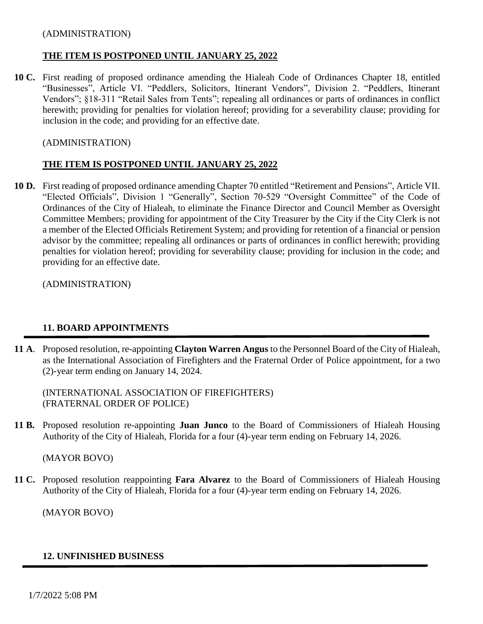### (ADMINISTRATION)

### **THE ITEM IS POSTPONED UNTIL JANUARY 25, 2022**

**10 C.** First reading of proposed ordinance amending the Hialeah Code of Ordinances Chapter 18, entitled "Businesses", Article VI. "Peddlers, Solicitors, Itinerant Vendors", Division 2. "Peddlers, Itinerant Vendors"; §18-311 "Retail Sales from Tents"; repealing all ordinances or parts of ordinances in conflict herewith; providing for penalties for violation hereof; providing for a severability clause; providing for inclusion in the code; and providing for an effective date.

### (ADMINISTRATION)

## **THE ITEM IS POSTPONED UNTIL JANUARY 25, 2022**

**10 D.** First reading of proposed ordinance amending Chapter 70 entitled "Retirement and Pensions", Article VII. "Elected Officials", Division 1 "Generally", Section 70-529 "Oversight Committee" of the Code of Ordinances of the City of Hialeah, to eliminate the Finance Director and Council Member as Oversight Committee Members; providing for appointment of the City Treasurer by the City if the City Clerk is not a member of the Elected Officials Retirement System; and providing for retention of a financial or pension advisor by the committee; repealing all ordinances or parts of ordinances in conflict herewith; providing penalties for violation hereof; providing for severability clause; providing for inclusion in the code; and providing for an effective date.

(ADMINISTRATION)

## **11. BOARD APPOINTMENTS**

**11 A**. Proposed resolution, re-appointing **Clayton Warren Angus** to the Personnel Board of the City of Hialeah, as the International Association of Firefighters and the Fraternal Order of Police appointment, for a two (2)-year term ending on January 14, 2024.

(INTERNATIONAL ASSOCIATION OF FIREFIGHTERS) (FRATERNAL ORDER OF POLICE)

**11 B.** Proposed resolution re-appointing **Juan Junco** to the Board of Commissioners of Hialeah Housing Authority of the City of Hialeah, Florida for a four (4)-year term ending on February 14, 2026.

(MAYOR BOVO)

**11 C.** Proposed resolution reappointing **Fara Alvarez** to the Board of Commissioners of Hialeah Housing Authority of the City of Hialeah, Florida for a four (4)-year term ending on February 14, 2026.

(MAYOR BOVO)

### **12. UNFINISHED BUSINESS**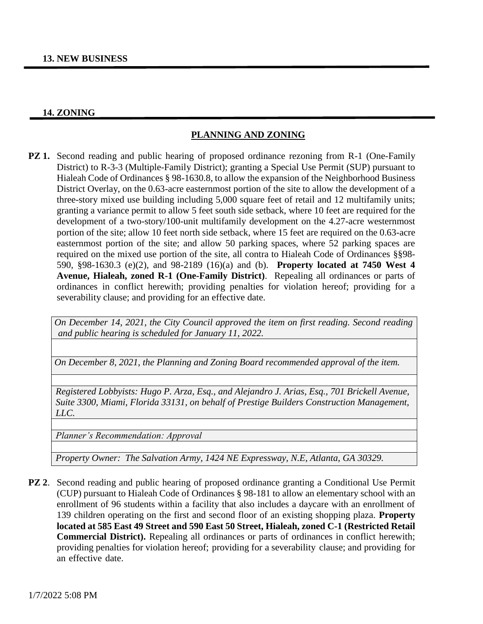#### **14. ZONING**

### **PLANNING AND ZONING**

**PZ 1.** Second reading and public hearing of proposed ordinance rezoning from R-1 (One-Family District) to R-3-3 (Multiple-Family District); granting a Special Use Permit (SUP) pursuant to Hialeah Code of Ordinances § 98-1630.8, to allow the expansion of the Neighborhood Business District Overlay, on the 0.63-acre easternmost portion of the site to allow the development of a three-story mixed use building including 5,000 square feet of retail and 12 multifamily units; granting a variance permit to allow 5 feet south side setback, where 10 feet are required for the development of a two-story/100-unit multifamily development on the 4.27-acre westernmost portion of the site; allow 10 feet north side setback, where 15 feet are required on the 0.63-acre easternmost portion of the site; and allow 50 parking spaces, where 52 parking spaces are required on the mixed use portion of the site, all contra to Hialeah Code of Ordinances §§98- 590, §98-1630.3 (e)(2), and 98-2189 (16)(a) and (b). **Property located at 7450 West 4 Avenue, Hialeah, zoned R-1 (One-Family District)**. Repealing all ordinances or parts of ordinances in conflict herewith; providing penalties for violation hereof; providing for a severability clause; and providing for an effective date.

*On December 14, 2021, the City Council approved the item on first reading. Second reading and public hearing is scheduled for January 11, 2022.*

*On December 8, 2021, the Planning and Zoning Board recommended approval of the item.* 

*Registered Lobbyists: Hugo P. Arza, Esq., and Alejandro J. Arias, Esq., 701 Brickell Avenue, Suite 3300, Miami, Florida 33131, on behalf of Prestige Builders Construction Management, LLC.*

*Planner's Recommendation: Approval* 

*Property Owner: The Salvation Army, 1424 NE Expressway, N.E, Atlanta, GA 30329.*

**PZ 2.** Second reading and public hearing of proposed ordinance granting a Conditional Use Permit (CUP) pursuant to Hialeah Code of Ordinances § 98-181 to allow an elementary school with an enrollment of 96 students within a facility that also includes a daycare with an enrollment of 139 children operating on the first and second floor of an existing shopping plaza. **Property located at 585 East 49 Street and 590 East 50 Street, Hialeah, zoned C-1 (Restricted Retail Commercial District).** Repealing all ordinances or parts of ordinances in conflict herewith; providing penalties for violation hereof; providing for a severability clause; and providing for an effective date.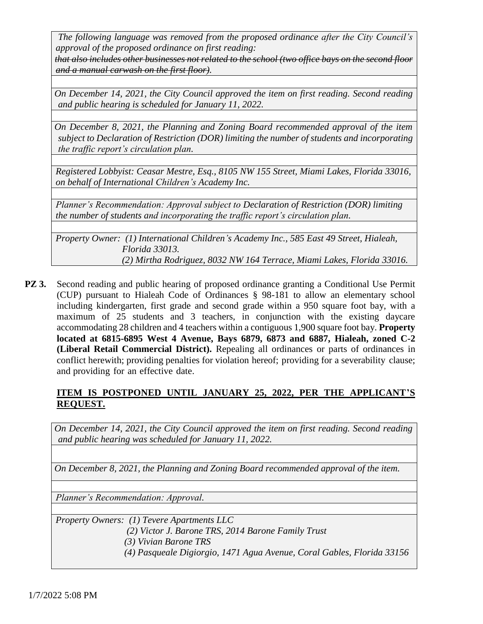*The following language was removed from the proposed ordinance after the City Council's approval of the proposed ordinance on first reading:*

*that also includes other businesses not related to the school (two office bays on the second floor and a manual carwash on the first floor).*

*On December 14, 2021, the City Council approved the item on first reading. Second reading and public hearing is scheduled for January 11, 2022.*

*On December 8, 2021, the Planning and Zoning Board recommended approval of the item subject to Declaration of Restriction (DOR) limiting the number of students and incorporating the traffic report's circulation plan.*

*Registered Lobbyist: Ceasar Mestre, Esq., 8105 NW 155 Street, Miami Lakes, Florida 33016, on behalf of International Children's Academy Inc.*

*Planner's Recommendation: Approval subject to Declaration of Restriction (DOR) limiting the number of students and incorporating the traffic report's circulation plan.*

*Property Owner: (1) International Children's Academy Inc., 585 East 49 Street, Hialeah, Florida 33013. (2) Mirtha Rodriguez, 8032 NW 164 Terrace, Miami Lakes, Florida 33016.*

**PZ 3.** Second reading and public hearing of proposed ordinance granting a Conditional Use Permit (CUP) pursuant to Hialeah Code of Ordinances § 98-181 to allow an elementary school including kindergarten, first grade and second grade within a 950 square foot bay, with a maximum of 25 students and 3 teachers, in conjunction with the existing daycare accommodating 28 children and 4 teachers within a contiguous 1,900 square foot bay. **Property located at 6815-6895 West 4 Avenue, Bays 6879, 6873 and 6887, Hialeah, zoned C-2 (Liberal Retail Commercial District).** Repealing all ordinances or parts of ordinances in conflict herewith; providing penalties for violation hereof; providing for a severability clause; and providing for an effective date.

# **ITEM IS POSTPONED UNTIL JANUARY 25, 2022, PER THE APPLICANT'S REQUEST.**

*On December 14, 2021, the City Council approved the item on first reading. Second reading and public hearing was scheduled for January 11, 2022.*

*On December 8, 2021, the Planning and Zoning Board recommended approval of the item.*

*Planner's Recommendation: Approval.*

*Property Owners: (1) Tevere Apartments LLC (2) Victor J. Barone TRS, 2014 Barone Family Trust (3) Vivian Barone TRS*

 *(4) Pasqueale Digiorgio, 1471 Agua Avenue, Coral Gables, Florida 33156*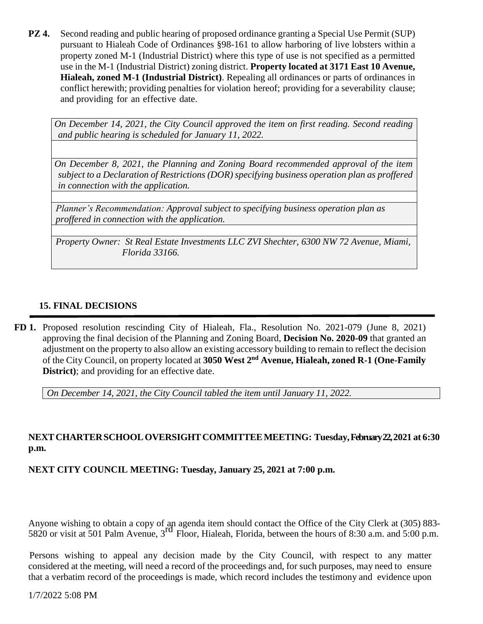**PZ 4.** Second reading and public hearing of proposed ordinance granting a Special Use Permit (SUP) pursuant to Hialeah Code of Ordinances §98-161 to allow harboring of live lobsters within a property zoned M-1 (Industrial District) where this type of use is not specified as a permitted use in the M-1 (Industrial District) zoning district. **Property located at 3171 East 10 Avenue, Hialeah, zoned M-1 (Industrial District)**. Repealing all ordinances or parts of ordinances in conflict herewith; providing penalties for violation hereof; providing for a severability clause; and providing for an effective date.

*On December 14, 2021, the City Council approved the item on first reading. Second reading and public hearing is scheduled for January 11, 2022.*

*On December 8, 2021, the Planning and Zoning Board recommended approval of the item subject to a Declaration of Restrictions (DOR) specifying business operation plan as proffered in connection with the application.*

*Planner's Recommendation: Approval subject to specifying business operation plan as proffered in connection with the application.*

*Property Owner: St Real Estate Investments LLC ZVI Shechter, 6300 NW 72 Avenue, Miami, Florida 33166.*

## **15. FINAL DECISIONS**

**FD 1.** Proposed resolution rescinding City of Hialeah, Fla., Resolution No. 2021-079 (June 8, 2021) approving the final decision of the Planning and Zoning Board, **Decision No. 2020-09** that granted an adjustment on the property to also allow an existing accessory building to remain to reflect the decision of the City Council, on property located at **3050 West 2nd Avenue, Hialeah, zoned R-1 (One-Family District**); and providing for an effective date.

*On December 14, 2021, the City Council tabled the item until January 11, 2022.*

# **NEXTCHARTERSCHOOLOVERSIGHTCOMMITTEEMEETING: Tuesday,February 22,2021 at 6:30 p.m.**

**NEXT CITY COUNCIL MEETING: Tuesday, January 25, 2021 at 7:00 p.m.**

Anyone wishing to obtain a copy of an agenda item should contact the Office of the City Clerk at (305) 883- 5820 or visit at 501 Palm Avenue,  $3<sup>rd</sup>$  Floor, Hialeah, Florida, between the hours of 8:30 a.m. and 5:00 p.m.

 Persons wishing to appeal any decision made by the City Council, with respect to any matter considered at the meeting, will need a record of the proceedings and, for such purposes, may need to ensure that a verbatim record of the proceedings is made, which record includes the testimony and evidence upon